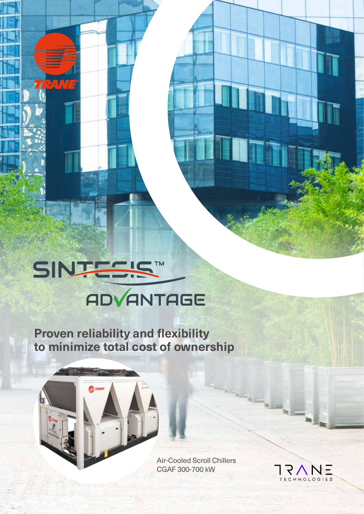# SINTES! TM **ADVANTAGE**

**RANTE** 

**Proven reliability and flexibility to minimize total cost of ownership**

> Air-Cooled Scroll Chillers CGAF 300-700 kW

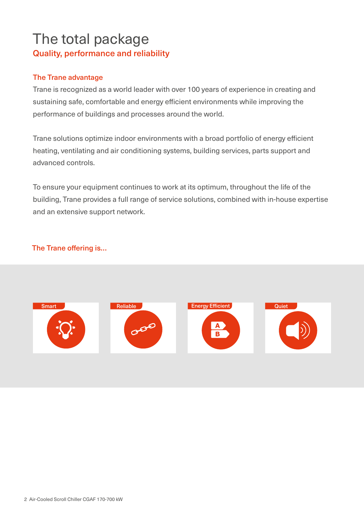# The total package Quality, performance and reliability

## The Trane advantage

Trane is recognized as a world leader with over 100 years of experience in creating and sustaining safe, comfortable and energy efficient environments while improving the performance of buildings and processes around the world.

Trane solutions optimize indoor environments with a broad portfolio of energy efficient heating, ventilating and air conditioning systems, building services, parts support and advanced controls.

To ensure your equipment continues to work at its optimum, throughout the life of the building, Trane provides a full range of service solutions, combined with in-house expertise and an extensive support network.

# The Trane offering is…

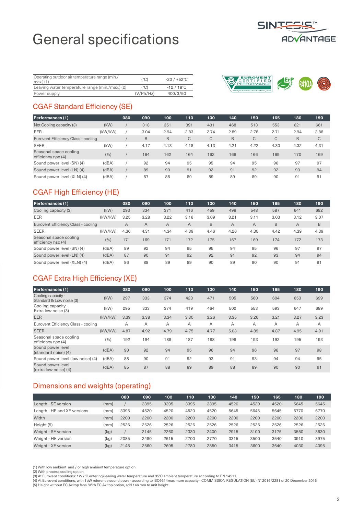# General specifications



| Operating outdoor air temperature range (min./<br>max.) (1) | $(^{\circ}C)$ | $-20/+52^{\circ}$ C |
|-------------------------------------------------------------|---------------|---------------------|
| Leaving water temperature range (min./max.) (2)             | $(^{\circ}C)$ | $-12/18^{\circ}$ C  |
| Power supply                                                | (V/Ph/Hz)     | 400/3/50            |



## CGAF Standard Efficiency (SE)

| <b>Performances (1)</b>                      |         | 080 | 090  | 100  | 110  | 130  | 140  | 150  | 165  | 180  | 190  |
|----------------------------------------------|---------|-----|------|------|------|------|------|------|------|------|------|
| Net Cooling capacity (3)                     | (kW)    |     | 318  | 351  | 391  | 431  | 468  | 513  | 553  | 621  | 661  |
| EER                                          | (kW/kW) |     | 3.04 | 2.94 | 2.83 | 2.74 | 2.89 | 2.78 | 2.71 | 2.94 | 2.88 |
| Eurovent Efficiency Class - cooling          |         |     | B    | B    | C    | C    | B    | C    | C    | B    | C    |
| <b>SEER</b>                                  | (kW)    |     | 4.17 | 4.13 | 4.18 | 4.13 | 4.21 | 4.22 | 4.30 | 4.32 | 4.31 |
| Seasonal space cooling<br>efficiency nsc (4) | (9/0)   |     | 164  | 162  | 164  | 162  | 166  | 166  | 169  | 170  | 169  |
| Sound power level (SN) (4)                   | (dBA)   |     | 92   | 94   | 95   | 95   | 94   | 95   | 96   | 97   | 97   |
| Sound power level (LN) (4)                   | (dBA)   |     | 89   | 90   | 91   | 92   | 91   | 92   | 92   | 93   | 94   |
| Sound power level (XLN) (4)                  | (dBA)   |     | 87   | 88   | 89   | 89   | 89   | 89   | 90   | 91   | 91   |

# CGAF High Efficiency (HE)

| <b>Performances (1)</b>                      |         | 080  | 090            | 100            | 110            | 130  | 140  | 150  | 165  | 180            | 190  |
|----------------------------------------------|---------|------|----------------|----------------|----------------|------|------|------|------|----------------|------|
| Cooling capacity (3)                         | (kW)    | 293  | 334            | 371            | 416            | 459  | 498  | 548  | 587  | 641            | 682  |
| EER                                          | (kW/kW) | 3.25 | 3.28           | 3.22           | 3.16           | 3.09 | 3.21 | 3.11 | 3.03 | 3.12           | 3.07 |
| Eurovent Efficiency Class - cooling          |         | A    | $\overline{A}$ | $\overline{A}$ | $\overline{A}$ | B    | A    | A    | B    | $\overline{A}$ | B    |
| <b>SEER</b>                                  | (kW/kW) | 4.36 | 4.31           | 4.34           | 4.39           | 4.46 | 4.26 | 4.30 | 4.42 | 4.39           | 4.39 |
| Seasonal space cooling<br>efficiency nsc (4) | (%)     | 171  | 169            | 171            | 172            | 175  | 167  | 169  | 174  | 172            | 173  |
| Sound power level (SN) (4)                   | (dBA)   | 89   | 92             | 94             | 95             | 95   | 94   | 95   | 96   | 97             | 97   |
| Sound power level (LN) (4)                   | (dBA)   | 87   | 90             | 91             | 92             | 92   | 91   | 92   | 93   | 94             | 94   |
| Sound power level (XLN) (4)                  | (dBA)   | 86   | 88             | 89             | 89             | 90   | 89   | 90   | 90   | 91             | 91   |

## CGAF Extra High Efficiency (XE)

| <b>Performances (1)</b>                        |         | 080  | 090  | 100  | 110  | 130  | 140  | 150  | 165  | 180  | 190  |
|------------------------------------------------|---------|------|------|------|------|------|------|------|------|------|------|
| Cooling capacity -<br>Standard & Low noise (3) | (kW)    | 297  | 333  | 374  | 423  | 471  | 505  | 560  | 604  | 653  | 699  |
| Cooling capacity -<br>Extra low noise (3)      | (kW)    | 295  | 333  | 374  | 419  | 464  | 502  | 553  | 593  | 647  | 689  |
| <b>EER</b>                                     | (kW/kW) | 3.39 | 3.38 | 3.34 | 3.30 | 3.26 | 3.35 | 3.26 | 3.21 | 3.27 | 3.23 |
| Eurovent Efficiency Class - cooling            |         | A    | A    | A    | A    | A    | A    | A    | Α    | A    | A    |
| <b>SEER</b>                                    | (kW/kW) | 4.87 | 4.92 | 4.79 | 4.75 | 4.77 | 5.03 | 4.89 | 4.87 | 4.95 | 4.91 |
| Seasonal space cooling<br>efficiency nsc (4)   | (%)     | 192  | 194  | 189  | 187  | 188  | 198  | 193  | 192  | 195  | 193  |
| Sound power level<br>(standard noise) (4)      | (dBA)   | 90   | 92   | 94   | 95   | 96   | 94   | 96   | 96   | 97   | 98   |
| Sound power level (low noise) (4)              | (dBA)   | 88   | 90   | 91   | 92   | 93   | 91   | 93   | 94   | 94   | 95   |
| Sound power level<br>(extra low noise) (4)     | (dBA)   | 85   | 87   | 88   | 89   | 89   | 88   | 89   | 90   | 90   | 91   |

# Dimensions and weights (operating)

|                             |      | 080  | 090  | 100  | 110  | 130  | 140  | 150  | 165  | 180  | 190  |
|-----------------------------|------|------|------|------|------|------|------|------|------|------|------|
| Length - SE version         | (mm) |      | 3395 | 3395 | 3395 | 3395 | 4520 | 4520 | 4520 | 5645 | 5645 |
| Length - HE and XE versions | (mm) | 3395 | 4520 | 4520 | 4520 | 4520 | 5645 | 5645 | 5645 | 6770 | 6770 |
| Width                       | (mm) | 2200 | 2200 | 2200 | 2200 | 2200 | 2200 | 2200 | 2200 | 2200 | 2200 |
| Height (5)                  | (mm) | 2526 | 2526 | 2526 | 2526 | 2526 | 2526 | 2526 | 2526 | 2526 | 2526 |
| Weight - SE version         | (kg) |      | 2145 | 2260 | 2330 | 2400 | 2915 | 3100 | 3175 | 3550 | 3630 |
| Weight - HE version         | (kg) | 2085 | 2480 | 2615 | 2700 | 2770 | 3315 | 3500 | 3540 | 3910 | 3975 |
| Weight - XE version         | (kg) | 2145 | 2560 | 2695 | 2780 | 2850 | 3415 | 3600 | 3640 | 4030 | 4095 |
|                             |      |      |      |      |      |      |      |      |      |      |      |

(1) With low ambient and / or high ambient temperature option

(2) With process cooling option<br>(3) At Eurovent conditions: 12/7°C entering/leaving water temperature and 35°C ambient temperature according to EN 14511.<br>(4) At Eurovent conditions, with 1pW reference sound power, accordin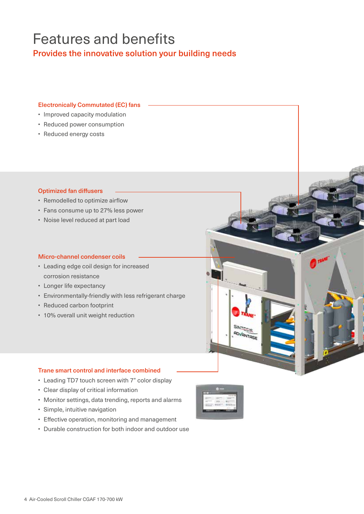# Features and benefits

Provides the innovative solution your building needs

### Electronically Commutated (EC) fans

- Improved capacity modulation
- Reduced power consumption
- Reduced energy costs

### Optimized fan diffusers

- Remodelled to optimize airflow
- Fans consume up to 27% less power
- Noise level reduced at part load

### Micro-channel condenser coils

- Leading edge coil design for increased corrosion resistance
- Longer life expectancy
- Environmentally-friendly with less refrigerant charge
- Reduced carbon footprint
- 10% overall unit weight reduction

### Trane smart control and interface combined

- Leading TD7 touch screen with 7" color display
- Clear display of critical information
- Monitor settings, data trending, reports and alarms
- Simple, intuitive navigation
- Effective operation, monitoring and management
- Durable construction for both indoor and outdoor use



SINTESIS ROVANTAGE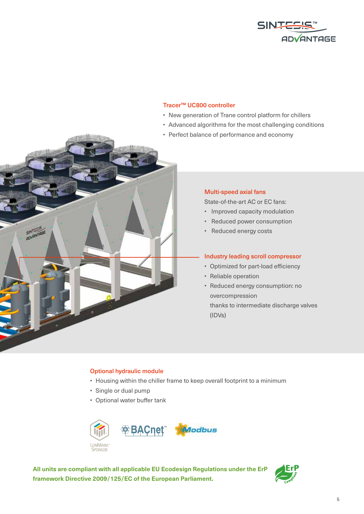

### Tracer™ UC800 controller

- New generation of Trane control platform for chillers
- Advanced algorithms for the most challenging conditions
- Perfect balance of performance and economy



### Multi-speed axial fans

State-of-the-art AC or EC fans:

- Improved capacity modulation
- Reduced power consumption
- Reduced energy costs

### Industry leading scroll compressor

- Optimized for part-load efficiency
- Reliable operation
- Reduced energy consumption: no overcompression

thanks to intermediate discharge valves (IDVs)

### Optional hydraulic module

- Housing within the chiller frame to keep overall footprint to a minimum
- Single or dual pump
- Optional water buffer tank



**All units are compliant with all applicable EU Ecodesign Regulations under the ErP framework Directive 2009/125/EC of the European Parliament.**

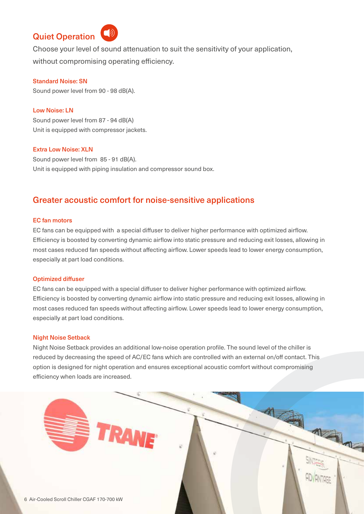# Quiet Operation



Choose your level of sound attenuation to suit the sensitivity of your application, without compromising operating efficiency.

### Standard Noise: SN

Sound power level from 90 - 98 dB(A).

### Low Noise: LN

Sound power level from 87 - 94 dB(A) Unit is equipped with compressor jackets.

### Extra Low Noise: XLN

Sound power level from 85 - 91 dB(A). Unit is equipped with piping insulation and compressor sound box.

## Greater acoustic comfort for noise-sensitive applications

### EC fan motors

EC fans can be equipped with a special diffuser to deliver higher performance with optimized airflow. Efficiency is boosted by converting dynamic airflow into static pressure and reducing exit losses, allowing in most cases reduced fan speeds without affecting airflow. Lower speeds lead to lower energy consumption, especially at part load conditions.

#### Optimized diffuser

EC fans can be equipped with a special diffuser to deliver higher performance with optimized airflow. Efficiency is boosted by converting dynamic airflow into static pressure and reducing exit losses, allowing in most cases reduced fan speeds without affecting airflow. Lower speeds lead to lower energy consumption, especially at part load conditions.

#### Night Noise Setback

Night Noise Setback provides an additional low-noise operation profile. The sound level of the chiller is reduced by decreasing the speed of AC/EC fans which are controlled with an external on/off contact. This option is designed for night operation and ensures exceptional acoustic comfort without compromising efficiency when loads are increased.

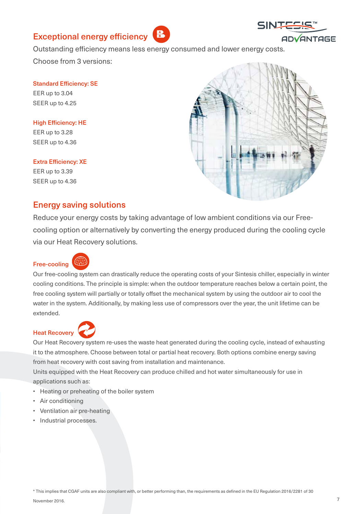# Exceptional energy efficiency



Outstanding efficiency means less energy consumed and lower energy costs.

Choose from 3 versions:

Standard Efficiency: SE EER up to 3.04 SEER up to 4.25

High Efficiency: HE EER up to 3.28 SEER up to 4.36

### Extra Efficiency: XE

EER up to 3.39 SEER up to 4.36



# Energy saving solutions

Reduce your energy costs by taking advantage of low ambient conditions via our Freecooling option or alternatively by converting the energy produced during the cooling cycle via our Heat Recovery solutions.

## Free-cooling



Our free-cooling system can drastically reduce the operating costs of your Sintesis chiller, especially in winter cooling conditions. The principle is simple: when the outdoor temperature reaches below a certain point, the free cooling system will partially or totally offset the mechanical system by using the outdoor air to cool the water in the system. Additionally, by making less use of compressors over the year, the unit lifetime can be extended.

## Heat Recovery



Our Heat Recovery system re-uses the waste heat generated during the cooling cycle, instead of exhausting it to the atmosphere. Choose between total or partial heat recovery. Both options combine energy saving from heat recovery with cost saving from installation and maintenance.

Units equipped with the Heat Recovery can produce chilled and hot water simultaneously for use in applications such as:

- Heating or preheating of the boiler system
- Air conditioning
- Ventilation air pre-heating
- Industrial processes.